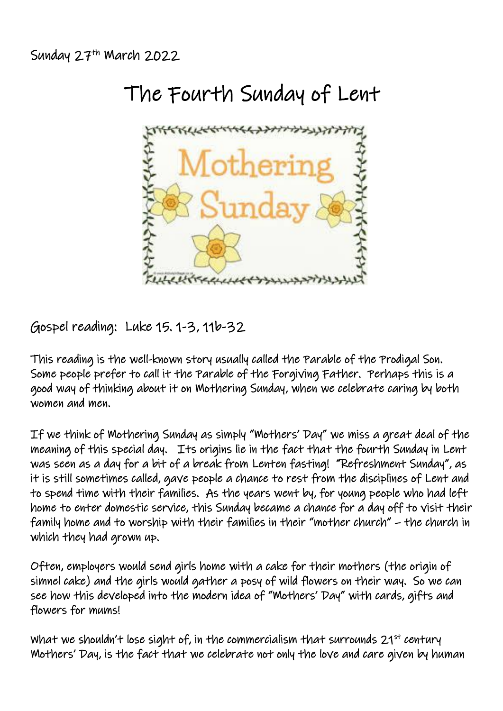Sunday 27<sup>th</sup> March 2022



Gospel reading: Luke 15. 1-3, 11b-32

This reading is the well-known story usually called the Parable of the Prodigal Son. Some people prefer to call it the Parable of the Forgiving Father. Perhaps this is a good way of thinking about it on Mothering Sunday, when we celebrate caring by both women and men.

If we think of Mothering Sunday as simply "Mothers' Day" we miss a great deal of the meaning of this special day. Its origins lie in the fact that the fourth Sunday in Lent was seen as a day for a bit of a break from Lenten fasting! "Refreshment Sunday", as it is still sometimes called, gave people a chance to rest from the disciplines of Lent and to spend time with their families. As the years went by, for young people who had left home to enter domestic service, this Sunday became a chance for a day off to visit their family home and to worship with their families in their "mother church" – the church in which they had grown up.

Often, employers would send girls home with a cake for their mothers (the origin of simnel cake) and the girls would gather a posy of wild flowers on their way. So we can see how this developed into the modern idea of "Mothers' Day" with cards, gifts and flowers for mums!

What we shouldn't lose sight of, in the commercialism that surrounds  $21^{st}$  century Mothers' Day, is the fact that we celebrate not only the love and care given by human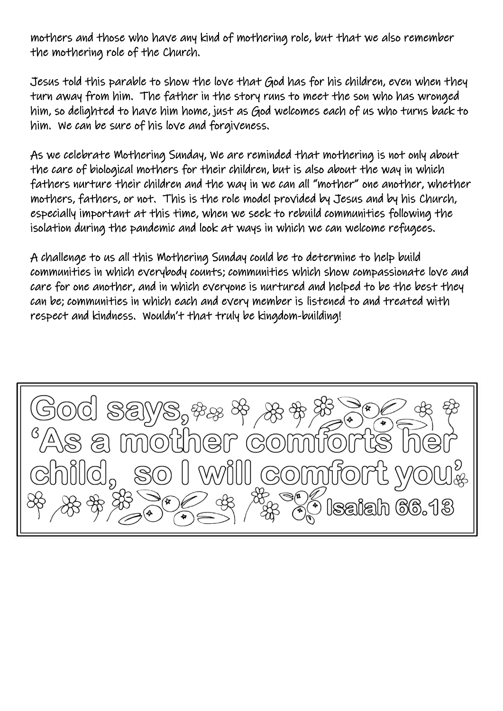mothers and those who have any kind of mothering role, but that we also remember the mothering role of the Church.

Jesus told this parable to show the love that God has for his children, even when they turn away from him. The father in the story runs to meet the son who has wronged him, so delighted to have him home, just as God welcomes each of us who turns back to him. We can be sure of his love and forgiveness.

As we celebrate Mothering Sunday, We are reminded that mothering is not only about the care of biological mothers for their children, but is also about the way in which fathers nurture their children and the way in we can all "mother" one another, whether mothers, fathers, or not. This is the role model provided by Jesus and by his Church, especially important at this time, when we seek to rebuild communities following the isolation during the pandemic and look at ways in which we can welcome refugees.

A challenge to us all this Mothering Sunday could be to determine to help build communities in which everybody counts; communities which show compassionate love and care for one another, and in which everyone is nurtured and helped to be the best they can be; communities in which each and every member is listened to and treated with respect and kindness. Wouldn't that truly be kingdom-building!

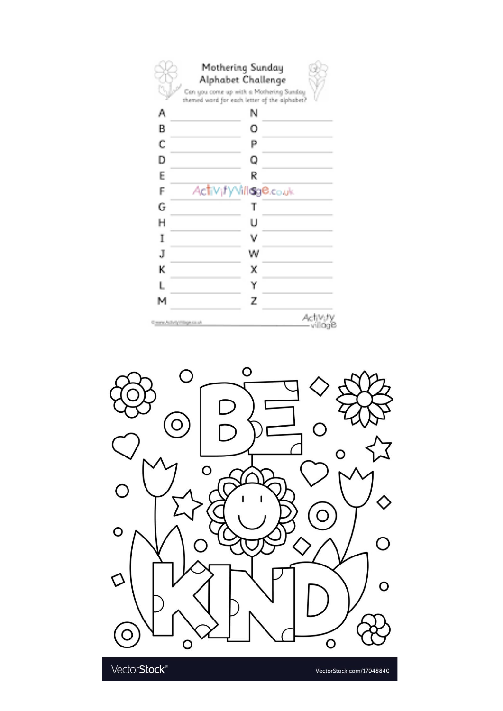|   | Mothering Sunday<br>Alphabet Challenge                                                  |
|---|-----------------------------------------------------------------------------------------|
|   | Can you come up with a Mothering Sunday<br>themed word for each letter of the alphabet? |
| Α | Ν                                                                                       |
| B | о                                                                                       |
| C | Р                                                                                       |
| D | Q                                                                                       |
| Ē | R                                                                                       |
| F | Activ <sub>ity Villoge.co.uk</sub>                                                      |
| Ġ |                                                                                         |
| н | U                                                                                       |
| I |                                                                                         |
| J |                                                                                         |
| К | x                                                                                       |
| L | Y                                                                                       |
| M | Z                                                                                       |
|   | Connected by Principal Co. Un<br>villaa                                                 |



VectorStock®